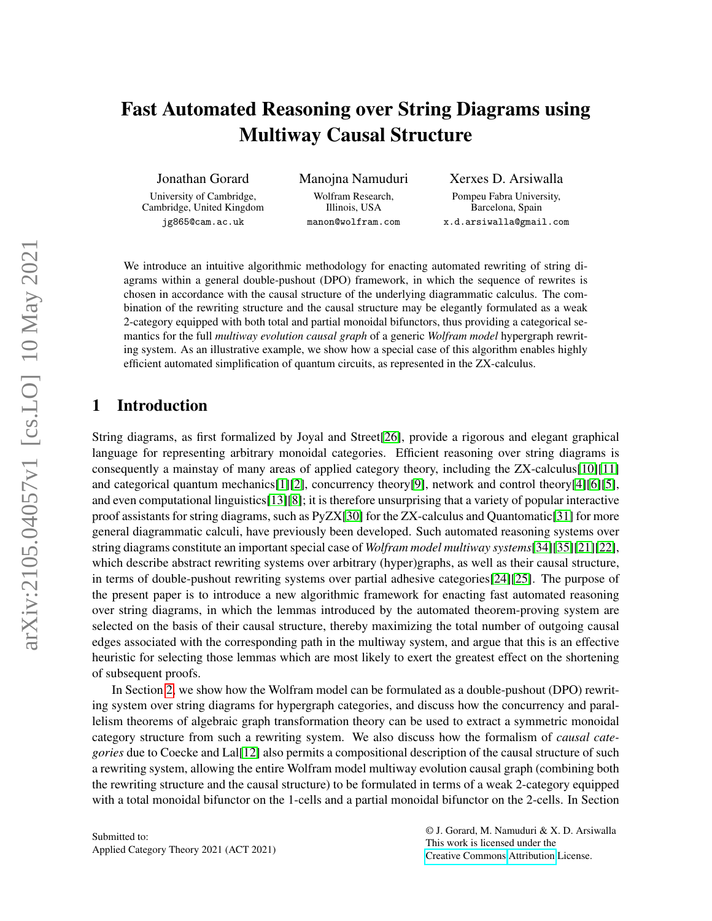# Fast Automated Reasoning over String Diagrams using Multiway Causal Structure

Jonathan Gorard

University of Cambridge, Cambridge, United Kingdom jg865@cam.ac.uk

Manojna Namuduri Wolfram Research, Illinois, USA manon@wolfram.com

Xerxes D. Arsiwalla Pompeu Fabra University, Barcelona, Spain x.d.arsiwalla@gmail.com

We introduce an intuitive algorithmic methodology for enacting automated rewriting of string diagrams within a general double-pushout (DPO) framework, in which the sequence of rewrites is chosen in accordance with the causal structure of the underlying diagrammatic calculus. The combination of the rewriting structure and the causal structure may be elegantly formulated as a weak 2-category equipped with both total and partial monoidal bifunctors, thus providing a categorical semantics for the full *multiway evolution causal graph* of a generic *Wolfram model* hypergraph rewriting system. As an illustrative example, we show how a special case of this algorithm enables highly efficient automated simplification of quantum circuits, as represented in the ZX-calculus.

### 1 Introduction

String diagrams, as first formalized by Joyal and Street[\[26\]](#page-12-0), provide a rigorous and elegant graphical language for representing arbitrary monoidal categories. Efficient reasoning over string diagrams is consequently a mainstay of many areas of applied category theory, including the ZX-calculus[\[10\]](#page-11-0)[\[11\]](#page-11-1) and categorical quantum mechanics[\[1\]](#page-11-2)[\[2\]](#page-11-3), concurrency theory[\[9\]](#page-11-4), network and control theory[\[4\]](#page-11-5)[\[6\]](#page-11-6)[\[5\]](#page-11-7), and even computational linguistics[\[13\]](#page-11-8)[\[8\]](#page-11-9); it is therefore unsurprising that a variety of popular interactive proof assistants for string diagrams, such as PyZX[\[30\]](#page-12-1) for the ZX-calculus and Quantomatic[\[31\]](#page-12-2) for more general diagrammatic calculi, have previously been developed. Such automated reasoning systems over string diagrams constitute an important special case of *Wolfram model multiway systems*[\[34\]](#page-13-0)[\[35\]](#page-13-1)[\[21\]](#page-12-3)[\[22\]](#page-12-4), which describe abstract rewriting systems over arbitrary (hyper)graphs, as well as their causal structure, in terms of double-pushout rewriting systems over partial adhesive categories[\[24\]](#page-12-5)[\[25\]](#page-12-6). The purpose of the present paper is to introduce a new algorithmic framework for enacting fast automated reasoning over string diagrams, in which the lemmas introduced by the automated theorem-proving system are selected on the basis of their causal structure, thereby maximizing the total number of outgoing causal edges associated with the corresponding path in the multiway system, and argue that this is an effective heuristic for selecting those lemmas which are most likely to exert the greatest effect on the shortening of subsequent proofs.

In Section [2,](#page-1-0) we show how the Wolfram model can be formulated as a double-pushout (DPO) rewriting system over string diagrams for hypergraph categories, and discuss how the concurrency and parallelism theorems of algebraic graph transformation theory can be used to extract a symmetric monoidal category structure from such a rewriting system. We also discuss how the formalism of *causal categories* due to Coecke and Lal[\[12\]](#page-11-10) also permits a compositional description of the causal structure of such a rewriting system, allowing the entire Wolfram model multiway evolution causal graph (combining both the rewriting structure and the causal structure) to be formulated in terms of a weak 2-category equipped with a total monoidal bifunctor on the 1-cells and a partial monoidal bifunctor on the 2-cells. In Section

Submitted to: Applied Category Theory 2021 (ACT 2021) © J. Gorard, M. Namuduri & X. D. Arsiwalla This work is licensed under the [Creative Commons](https://creativecommons.org) [Attribution](https://creativecommons.org/licenses/by/4.0/) License.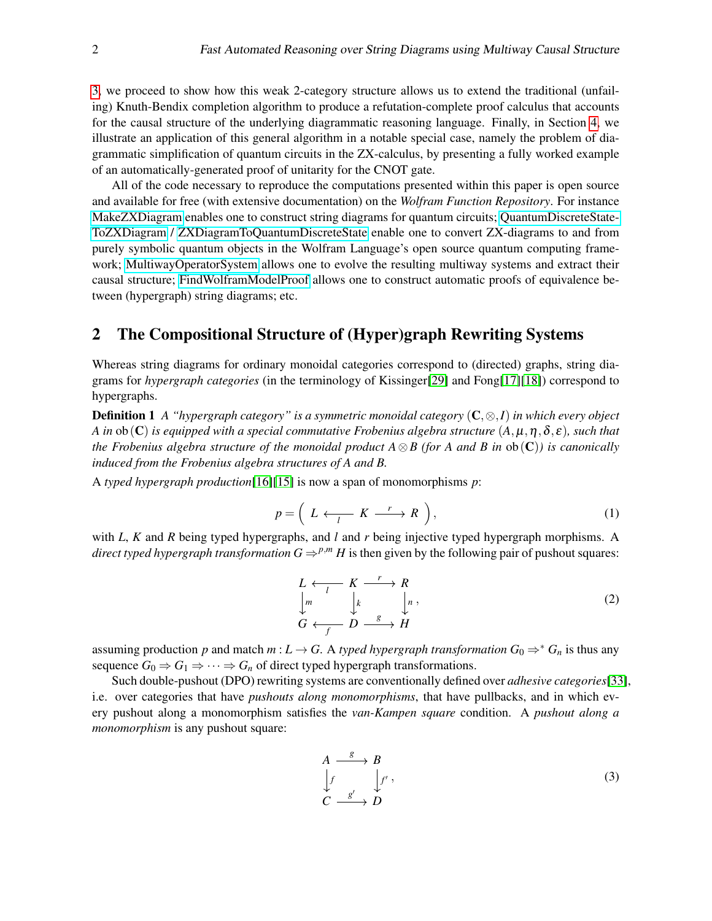[3,](#page-4-0) we proceed to show how this weak 2-category structure allows us to extend the traditional (unfailing) Knuth-Bendix completion algorithm to produce a refutation-complete proof calculus that accounts for the causal structure of the underlying diagrammatic reasoning language. Finally, in Section [4,](#page-7-0) we illustrate an application of this general algorithm in a notable special case, namely the problem of diagrammatic simplification of quantum circuits in the ZX-calculus, by presenting a fully worked example of an automatically-generated proof of unitarity for the CNOT gate.

All of the code necessary to reproduce the computations presented within this paper is open source and available for free (with extensive documentation) on the *Wolfram Function Repository*. For instance [MakeZXDiagram](https://resources.wolframcloud.com/FunctionRepository/resources/MakeZXDiagram) enables one to construct string diagrams for quantum circuits; [QuantumDiscreteState-](https://resources.wolframcloud.com/FunctionRepository/resources/QuantumDiscreteStateToZXDiagram/)[ToZXDiagram](https://resources.wolframcloud.com/FunctionRepository/resources/QuantumDiscreteStateToZXDiagram/) / [ZXDiagramToQuantumDiscreteState](https://resources.wolframcloud.com/FunctionRepository/resources/ZXDiagramToQuantumDiscreteState/) enable one to convert ZX-diagrams to and from purely symbolic quantum objects in the Wolfram Language's open source quantum computing framework; [MultiwayOperatorSystem](https://resources.wolframcloud.com/FunctionRepository/resources/MultiwayOperatorSystem) allows one to evolve the resulting multiway systems and extract their causal structure; [FindWolframModelProof](https://resources.wolframcloud.com/FunctionRepository/resources/FindWolframModelProof) allows one to construct automatic proofs of equivalence between (hypergraph) string diagrams; etc.

# <span id="page-1-0"></span>2 The Compositional Structure of (Hyper)graph Rewriting Systems

Whereas string diagrams for ordinary monoidal categories correspond to (directed) graphs, string diagrams for *hypergraph categories* (in the terminology of Kissinger[\[29\]](#page-12-7) and Fong[\[17\]](#page-12-8)[\[18\]](#page-12-9)) correspond to hypergraphs.

Definition 1 *A "hypergraph category" is a symmetric monoidal category* (C,⊗,*I*) *in which every object A in* ob(C) *is equipped with a special commutative Frobenius algebra structure* (*A*,µ,η,δ, ε)*, such that the Frobenius algebra structure of the monoidal product*  $A \otimes B$  (for A and B in  $ob(C)$ ) is canonically *induced from the Frobenius algebra structures of A and B.*

A *typed hypergraph production*[\[16\]](#page-12-10)[\[15\]](#page-12-11) is now a span of monomorphisms *p*:

$$
p = \left( L \longleftrightarrow K \longrightarrow R \right), \tag{1}
$$

with *L*, *K* and *R* being typed hypergraphs, and *l* and *r* being injective typed hypergraph morphisms. A *direct typed hypergraph transformation*  $G \Rightarrow^{p,m} H$  *is then given by the following pair of pushout squares:* 

$$
L \longleftrightarrow K \longrightarrow R
$$
  
\n
$$
\downarrow m \qquad \downarrow k \qquad \downarrow n,
$$
  
\n
$$
G \longleftrightarrow f \qquad D \xrightarrow{g} H
$$
 (2)

assuming production *p* and match *m* :  $L \rightarrow G$ . A *typed hypergraph transformation*  $G_0 \Rightarrow^* G_n$  is thus any sequence  $G_0 \Rightarrow G_1 \Rightarrow \cdots \Rightarrow G_n$  of direct typed hypergraph transformations.

Such double-pushout (DPO) rewriting systems are conventionally defined over *adhesive categories*[\[33\]](#page-13-2), i.e. over categories that have *pushouts along monomorphisms*, that have pullbacks, and in which every pushout along a monomorphism satisfies the *van-Kampen square* condition. A *pushout along a monomorphism* is any pushout square:

$$
A \xrightarrow{\quad \mathcal{B} \quad \quad} B
$$
  
\n
$$
\downarrow f \qquad \qquad \downarrow f' \quad ,
$$
  
\n
$$
C \xrightarrow{\quad \mathcal{B}' \quad \quad} D
$$
  
\n(3)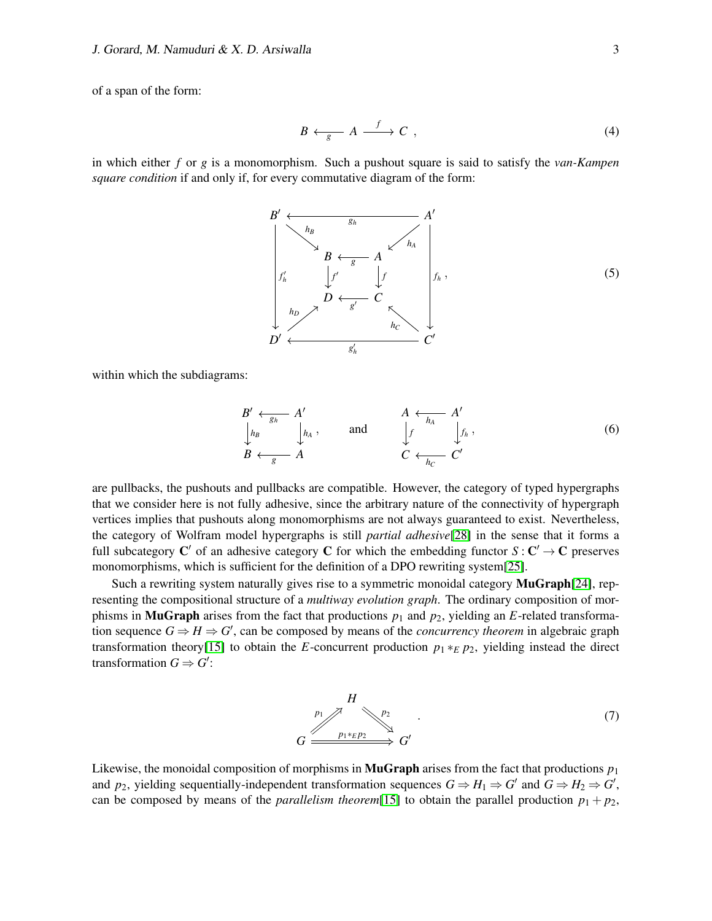of a span of the form:

$$
B \longleftrightarrow_{g} A \xrightarrow{f} C , \qquad (4)
$$

in which either *f* or *g* is a monomorphism. Such a pushout square is said to satisfy the *van-Kampen square condition* if and only if, for every commutative diagram of the form:



within which the subdiagrams:

$$
B' \leftarrow_{g_h} A' \qquad A \leftarrow_{h_A} A' \qquad A \leftarrow_{h_A} A' \qquad A \leftarrow_{h_B} A' \qquad \qquad (6)
$$
\n
$$
B \leftarrow_{g} A \qquad C \leftarrow_{h_C} C'
$$

are pullbacks, the pushouts and pullbacks are compatible. However, the category of typed hypergraphs that we consider here is not fully adhesive, since the arbitrary nature of the connectivity of hypergraph vertices implies that pushouts along monomorphisms are not always guaranteed to exist. Nevertheless, the category of Wolfram model hypergraphs is still *partial adhesive*[\[28\]](#page-12-12) in the sense that it forms a full subcategory C' of an adhesive category C for which the embedding functor  $S: C' \to C$  preserves monomorphisms, which is sufficient for the definition of a DPO rewriting system[\[25\]](#page-12-6).

Such a rewriting system naturally gives rise to a symmetric monoidal category **MuGraph**[\[24\]](#page-12-5), representing the compositional structure of a *multiway evolution graph*. The ordinary composition of morphisms in **MuGraph** arises from the fact that productions  $p_1$  and  $p_2$ , yielding an *E*-related transformation sequence  $G \Rightarrow H \Rightarrow G'$ , can be composed by means of the *concurrency theorem* in algebraic graph transformation theory[\[15\]](#page-12-11) to obtain the *E*-concurrent production  $p_1 *_{E} p_2$ , yielding instead the direct transformation  $G \Rightarrow G'$ :

$$
G \xrightarrow{p_1} \begin{matrix} H \\ p_2 \\ \downarrow \end{matrix} \xrightarrow{p_2} G'
$$
 (7)

Likewise, the monoidal composition of morphisms in **MuGraph** arises from the fact that productions  $p_1$ and  $p_2$ , yielding sequentially-independent transformation sequences  $G \Rightarrow H_1 \Rightarrow G'$  and  $G \Rightarrow H_2 \Rightarrow G'$ , can be composed by means of the *parallelism theorem*[\[15\]](#page-12-11) to obtain the parallel production  $p_1 + p_2$ ,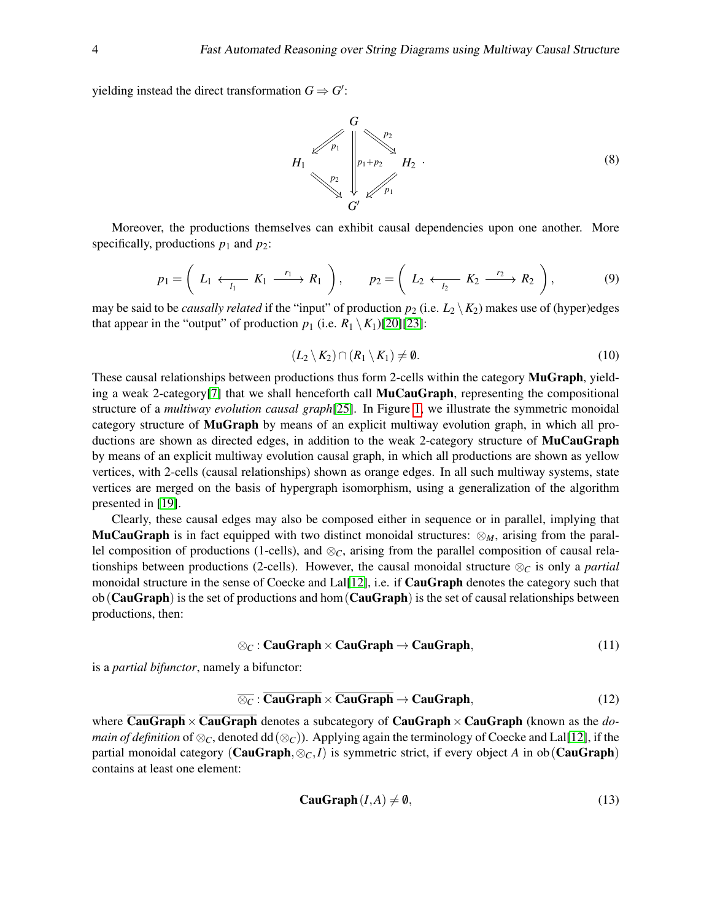yielding instead the direct transformation  $G \Rightarrow G'$ :



Moreover, the productions themselves can exhibit causal dependencies upon one another. More specifically, productions  $p_1$  and  $p_2$ :

$$
p_1 = \left(L_1 \stackrel{\cdot}{\longleftrightarrow}\begin{array}{c}r_1 \end{array}\right), \qquad p_2 = \left(L_2 \stackrel{\cdot}{\longleftrightarrow}\begin{array}{c}r_2 \end{array}\right), \qquad (9)
$$

may be said to be *causally related* if the "input" of production  $p_2$  (i.e.  $L_2 \setminus K_2$ ) makes use of (hyper)edges that appear in the "output" of production  $p_1$  (i.e.  $R_1 \setminus K_1$ )[\[20\]](#page-12-13)[\[23\]](#page-12-14):

$$
(L_2 \setminus K_2) \cap (R_1 \setminus K_1) \neq \emptyset. \tag{10}
$$

These causal relationships between productions thus form 2-cells within the category MuGraph, yield-ing a weak 2-category<sup>[\[7\]](#page-11-11)</sup> that we shall henceforth call **MuCauGraph**, representing the compositional structure of a *multiway evolution causal graph*[\[25\]](#page-12-6). In Figure [1,](#page-4-1) we illustrate the symmetric monoidal category structure of MuGraph by means of an explicit multiway evolution graph, in which all productions are shown as directed edges, in addition to the weak 2-category structure of **MuCauGraph** by means of an explicit multiway evolution causal graph, in which all productions are shown as yellow vertices, with 2-cells (causal relationships) shown as orange edges. In all such multiway systems, state vertices are merged on the basis of hypergraph isomorphism, using a generalization of the algorithm presented in [\[19\]](#page-12-15).

Clearly, these causal edges may also be composed either in sequence or in parallel, implying that **MuCauGraph** is in fact equipped with two distinct monoidal structures:  $\otimes_M$ , arising from the parallel composition of productions (1-cells), and ⊗*C*, arising from the parallel composition of causal relationships between productions (2-cells). However, the causal monoidal structure  $\otimes_C$  is only a *partial* monoidal structure in the sense of Coecke and Lal[\[12\]](#page-11-10), i.e. if **CauGraph** denotes the category such that  $ob(CauGraph)$  is the set of productions and hom  $(CauGraph)$  is the set of causal relationships between productions, then:

$$
\otimes_C : \mathbf{CauGraph} \times \mathbf{CauGraph} \to \mathbf{CauGraph},\tag{11}
$$

is a *partial bifunctor*, namely a bifunctor:

$$
\overline{\otimes_{\mathcal{C}}}: \mathbf{CauGraph} \times \mathbf{CauGraph} \to \mathbf{CauGraph},\tag{12}
$$

where **CauGraph**  $\times$  **CauGraph** denotes a subcategory of **CauGraph**  $\times$  **CauGraph** (known as the *domain of definition* of  $\otimes_C$ , denoted dd( $\otimes_C$ )). Applying again the terminology of Coecke and Lal[\[12\]](#page-11-10), if the partial monoidal category (**CauGraph**,  $\otimes_C I$ ) is symmetric strict, if every object *A* in ob(**CauGraph**) contains at least one element:

$$
CauGraph(I, A) \neq \emptyset,
$$
\n(13)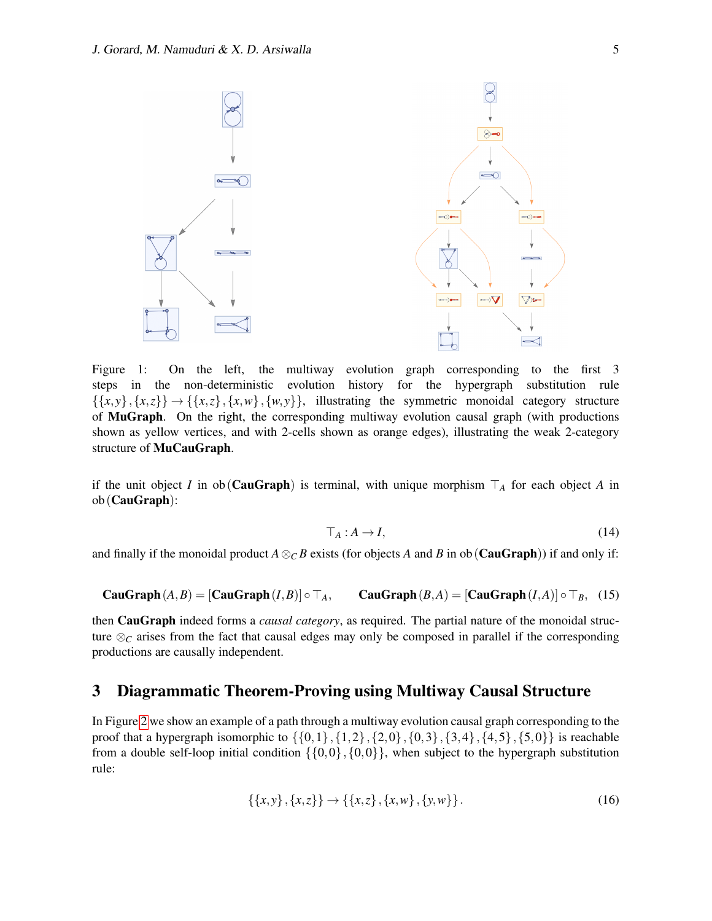

<span id="page-4-1"></span>Figure 1: On the left, the multiway evolution graph corresponding to the first 3 steps in the non-deterministic evolution history for the hypergraph substitution rule  $\{\{x, y\}, \{x, z\}\}\rightarrow \{\{x, z\}, \{x, w\}, \{w, y\}\}\$ , illustrating the symmetric monoidal category structure of MuGraph. On the right, the corresponding multiway evolution causal graph (with productions shown as yellow vertices, and with 2-cells shown as orange edges), illustrating the weak 2-category structure of MuCauGraph.

if the unit object *I* in ob(**CauGraph**) is terminal, with unique morphism  $\top_A$  for each object *A* in ob(CauGraph):

$$
\top_A: A \to I,\tag{14}
$$

and finally if the monoidal product  $A \otimes_C B$  exists (for objects *A* and *B* in ob(**CauGraph**)) if and only if:

**CauGraph** 
$$
(A, B) = [CauGraph(I, B)] \circ \top_A
$$
, **CauGraph**  $(B, A) = [CauGraph(I, A)] \circ \top_B$ , (15)

then CauGraph indeed forms a *causal category*, as required. The partial nature of the monoidal structure ⊗*<sup>C</sup>* arises from the fact that causal edges may only be composed in parallel if the corresponding productions are causally independent.

### <span id="page-4-0"></span>3 Diagrammatic Theorem-Proving using Multiway Causal Structure

In Figure [2](#page-5-0) we show an example of a path through a multiway evolution causal graph corresponding to the proof that a hypergraph isomorphic to  $\{\{0,1\},\{1,2\},\{2,0\},\{0,3\},\{3,4\},\{4,5\},\{5,0\}\}$  is reachable from a double self-loop initial condition  $\{\{0,0\},\{0,0\}\}\,$ , when subject to the hypergraph substitution rule:

$$
\{\{x,y\},\{x,z\}\} \to \{\{x,z\},\{x,w\},\{y,w\}\}.
$$
 (16)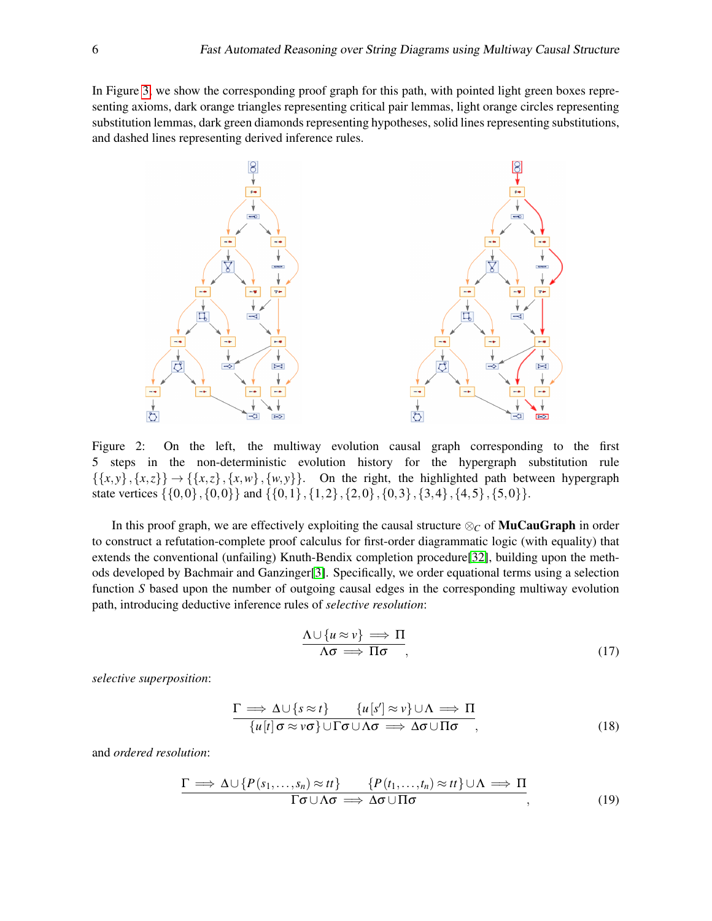In Figure [3,](#page-6-0) we show the corresponding proof graph for this path, with pointed light green boxes representing axioms, dark orange triangles representing critical pair lemmas, light orange circles representing substitution lemmas, dark green diamonds representing hypotheses, solid lines representing substitutions, and dashed lines representing derived inference rules.



<span id="page-5-0"></span>Figure 2: On the left, the multiway evolution causal graph corresponding to the first 5 steps in the non-deterministic evolution history for the hypergraph substitution rule  $\{\{x, y\}, \{x, z\}\}\rightarrow \{\{x, z\}, \{x, w\}, \{w, y\}\}.$  On the right, the highlighted path between hypergraph state vertices  $\{\{0,0\},\{0,0\}\}\$  and  $\{\{0,1\},\{1,2\},\{2,0\},\{0,3\},\{3,4\},\{4,5\},\{5,0\}\}.$ 

In this proof graph, we are effectively exploiting the causal structure  $\otimes_C$  of **MuCauGraph** in order to construct a refutation-complete proof calculus for first-order diagrammatic logic (with equality) that extends the conventional (unfailing) Knuth-Bendix completion procedure[\[32\]](#page-13-3), building upon the methods developed by Bachmair and Ganzinger[\[3\]](#page-11-12). Specifically, we order equational terms using a selection function *S* based upon the number of outgoing causal edges in the corresponding multiway evolution path, introducing deductive inference rules of *selective resolution*:

$$
\frac{\Lambda \cup \{u \approx v\} \implies \Pi}{\Lambda \sigma \implies \Pi \sigma},\tag{17}
$$

*selective superposition*:

$$
\frac{\Gamma \implies \Delta \cup \{s \approx t\} \qquad \{u[s'] \approx v\} \cup \Lambda \implies \Pi}{\{u[t] \sigma \approx v\sigma\} \cup \Gamma \sigma \cup \Lambda \sigma \implies \Delta \sigma \cup \Pi \sigma},\tag{18}
$$

and *ordered resolution*:

$$
\frac{\Gamma \Longrightarrow \Delta \cup \{P(s_1,\ldots,s_n) \approx tt\}}{\Gamma \sigma \cup \Lambda \sigma \Longrightarrow \Delta \sigma \cup \Pi \sigma} \frac{\{P(t_1,\ldots,t_n) \approx tt\} \cup \Lambda \Longrightarrow \Pi}{\tag{19}}
$$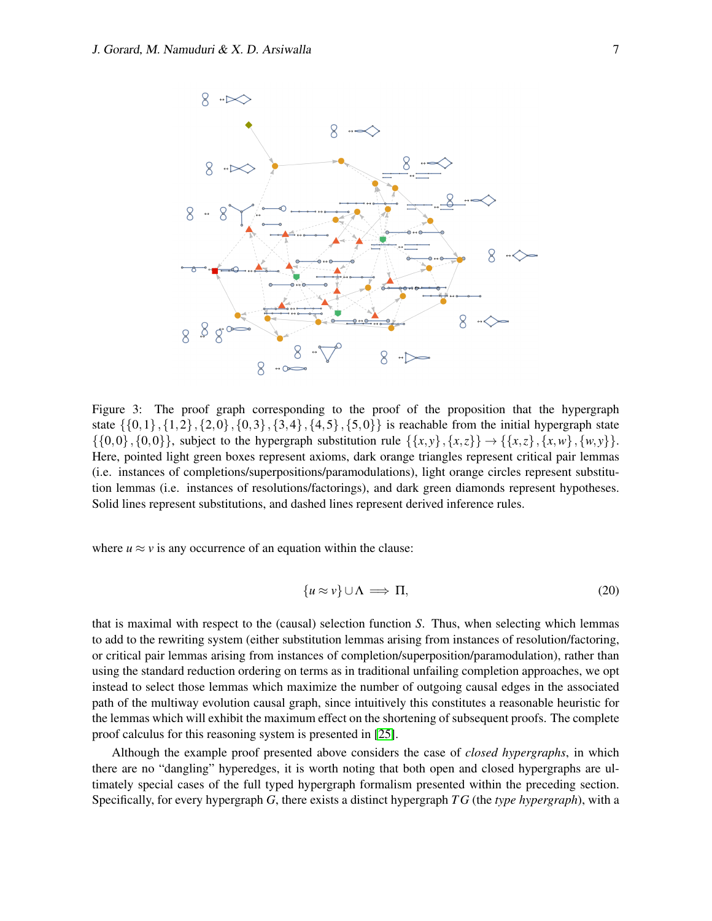

<span id="page-6-0"></span>Figure 3: The proof graph corresponding to the proof of the proposition that the hypergraph state  $\{\{0,1\},\{1,2\},\{2,0\},\{0,3\},\{3,4\},\{4,5\},\{5,0\}\}\$ is reachable from the initial hypergraph state  $\{\{0,0\},\{0,0\}\}\$ , subject to the hypergraph substitution rule  $\{\{x,y\},\{x,z\}\}\rightarrow \{\{x,z\},\{x,w\},\{w,y\}\}.$ Here, pointed light green boxes represent axioms, dark orange triangles represent critical pair lemmas (i.e. instances of completions/superpositions/paramodulations), light orange circles represent substitution lemmas (i.e. instances of resolutions/factorings), and dark green diamonds represent hypotheses. Solid lines represent substitutions, and dashed lines represent derived inference rules.

where  $u \approx v$  is any occurrence of an equation within the clause:

$$
\{u \approx v\} \cup \Lambda \implies \Pi,\tag{20}
$$

that is maximal with respect to the (causal) selection function *S*. Thus, when selecting which lemmas to add to the rewriting system (either substitution lemmas arising from instances of resolution/factoring, or critical pair lemmas arising from instances of completion/superposition/paramodulation), rather than using the standard reduction ordering on terms as in traditional unfailing completion approaches, we opt instead to select those lemmas which maximize the number of outgoing causal edges in the associated path of the multiway evolution causal graph, since intuitively this constitutes a reasonable heuristic for the lemmas which will exhibit the maximum effect on the shortening of subsequent proofs. The complete proof calculus for this reasoning system is presented in [\[25\]](#page-12-6).

Although the example proof presented above considers the case of *closed hypergraphs*, in which there are no "dangling" hyperedges, it is worth noting that both open and closed hypergraphs are ultimately special cases of the full typed hypergraph formalism presented within the preceding section. Specifically, for every hypergraph *G*, there exists a distinct hypergraph *T G* (the *type hypergraph*), with a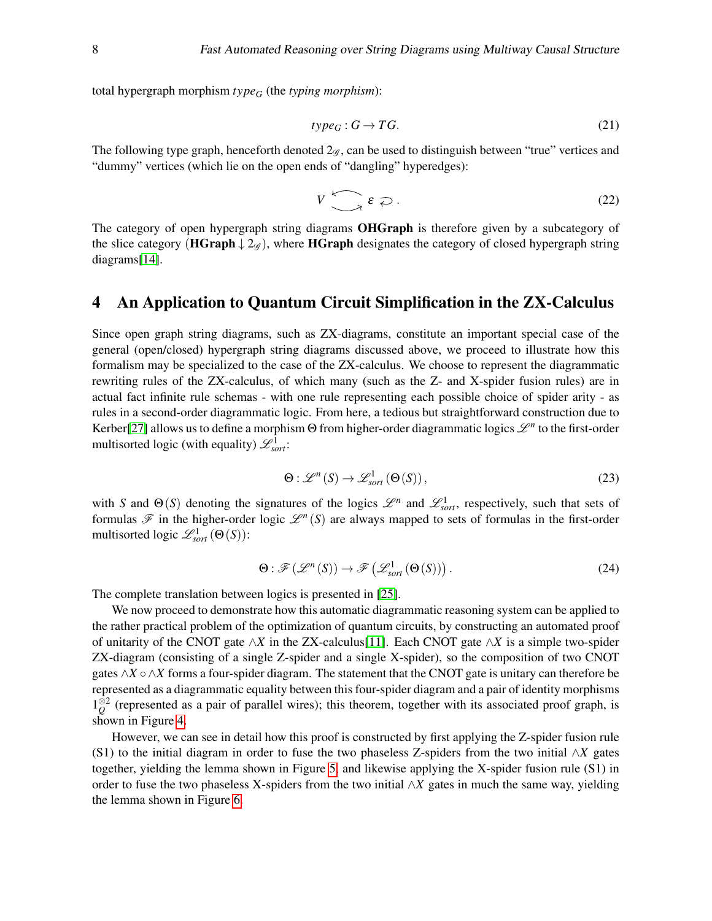total hypergraph morphism *type<sup>G</sup>* (the *typing morphism*):

$$
type_G: G \to TG.
$$
 (21)

The following type graph, henceforth denoted  $2\varphi$ , can be used to distinguish between "true" vertices and "dummy" vertices (which lie on the open ends of "dangling" hyperedges):

$$
V\left(\bigcap_{\mathcal{E}}\mathcal{E}\right). \tag{22}
$$

The category of open hypergraph string diagrams **OHGraph** is therefore given by a subcategory of the slice category (HGraph  $\downarrow 2\mathscr{A}$ ), where HGraph designates the category of closed hypergraph string diagrams[\[14\]](#page-12-16).

## <span id="page-7-0"></span>4 An Application to Quantum Circuit Simplification in the ZX-Calculus

Since open graph string diagrams, such as ZX-diagrams, constitute an important special case of the general (open/closed) hypergraph string diagrams discussed above, we proceed to illustrate how this formalism may be specialized to the case of the ZX-calculus. We choose to represent the diagrammatic rewriting rules of the ZX-calculus, of which many (such as the Z- and X-spider fusion rules) are in actual fact infinite rule schemas - with one rule representing each possible choice of spider arity - as rules in a second-order diagrammatic logic. From here, a tedious but straightforward construction due to Kerber[\[27\]](#page-12-17) allows us to define a morphism  $\Theta$  from higher-order diagrammatic logics  $\mathscr{L}^n$  to the first-order multisorted logic (with equality)  $\mathscr{L}^1_{sort}$ :

$$
\Theta: \mathcal{L}^n(S) \to \mathcal{L}^1_{sort}(\Theta(S)), \tag{23}
$$

with *S* and  $\Theta(S)$  denoting the signatures of the logics  $\mathcal{L}^n$  and  $\mathcal{L}^1_{sort}$ , respectively, such that sets of formulas  $\mathscr F$  in the higher-order logic  $\mathscr L^n(S)$  are always mapped to sets of formulas in the first-order multisorted logic  $\mathscr{L}^1_{sort}(\Theta(S))$ :

$$
\Theta : \mathscr{F}(\mathscr{L}^n(S)) \to \mathscr{F}(\mathscr{L}^1_{sort}(\Theta(S))). \tag{24}
$$

The complete translation between logics is presented in [\[25\]](#page-12-6).

We now proceed to demonstrate how this automatic diagrammatic reasoning system can be applied to the rather practical problem of the optimization of quantum circuits, by constructing an automated proof of unitarity of the CNOT gate ∧*X* in the ZX-calculus[\[11\]](#page-11-1). Each CNOT gate ∧*X* is a simple two-spider ZX-diagram (consisting of a single Z-spider and a single X-spider), so the composition of two CNOT gates ∧*X* ∘∧*X* forms a four-spider diagram. The statement that the CNOT gate is unitary can therefore be represented as a diagrammatic equality between this four-spider diagram and a pair of identity morphisms  $1\frac{\sqrt{2}}{Q}$  (represented as a pair of parallel wires); this theorem, together with its associated proof graph, is shown in Figure [4.](#page-8-0)

However, we can see in detail how this proof is constructed by first applying the Z-spider fusion rule (S1) to the initial diagram in order to fuse the two phaseless Z-spiders from the two initial ∧*X* gates together, yielding the lemma shown in Figure [5,](#page-9-0) and likewise applying the X-spider fusion rule (S1) in order to fuse the two phaseless X-spiders from the two initial ∧*X* gates in much the same way, yielding the lemma shown in Figure [6.](#page-9-1)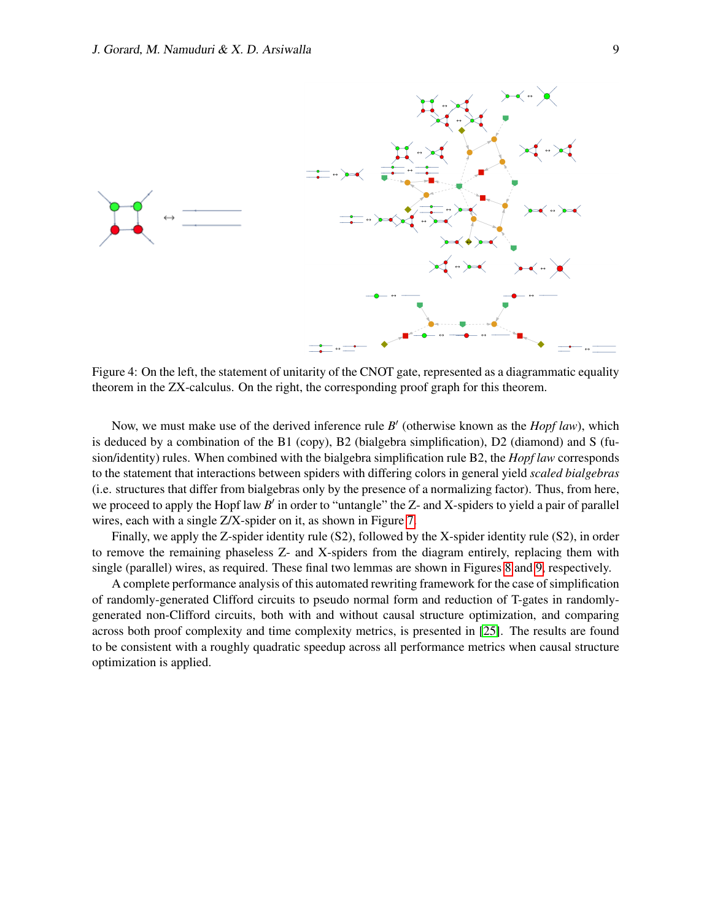

<span id="page-8-0"></span>Figure 4: On the left, the statement of unitarity of the CNOT gate, represented as a diagrammatic equality theorem in the ZX-calculus. On the right, the corresponding proof graph for this theorem.

Now, we must make use of the derived inference rule *B'* (otherwise known as the *Hopf law*), which is deduced by a combination of the B1 (copy), B2 (bialgebra simplification), D2 (diamond) and S (fusion/identity) rules. When combined with the bialgebra simplification rule B2, the *Hopf law* corresponds to the statement that interactions between spiders with differing colors in general yield *scaled bialgebras* (i.e. structures that differ from bialgebras only by the presence of a normalizing factor). Thus, from here, we proceed to apply the Hopf law *B'* in order to "untangle" the Z- and X-spiders to yield a pair of parallel wires, each with a single Z/X-spider on it, as shown in Figure [7.](#page-9-2)

Finally, we apply the Z-spider identity rule (S2), followed by the X-spider identity rule (S2), in order to remove the remaining phaseless Z- and X-spiders from the diagram entirely, replacing them with single (parallel) wires, as required. These final two lemmas are shown in Figures [8](#page-9-3) and [9,](#page-10-0) respectively.

A complete performance analysis of this automated rewriting framework for the case of simplification of randomly-generated Clifford circuits to pseudo normal form and reduction of T-gates in randomlygenerated non-Clifford circuits, both with and without causal structure optimization, and comparing across both proof complexity and time complexity metrics, is presented in [\[25\]](#page-12-6). The results are found to be consistent with a roughly quadratic speedup across all performance metrics when causal structure optimization is applied.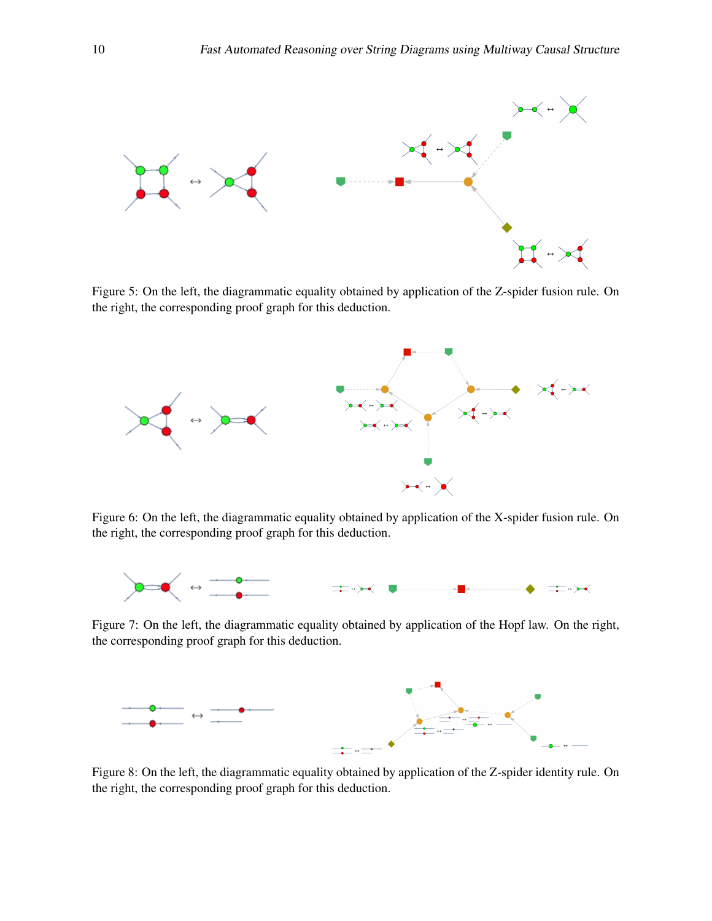

<span id="page-9-0"></span>Figure 5: On the left, the diagrammatic equality obtained by application of the Z-spider fusion rule. On the right, the corresponding proof graph for this deduction.



<span id="page-9-1"></span>Figure 6: On the left, the diagrammatic equality obtained by application of the X-spider fusion rule. On the right, the corresponding proof graph for this deduction.



<span id="page-9-2"></span>Figure 7: On the left, the diagrammatic equality obtained by application of the Hopf law. On the right, the corresponding proof graph for this deduction.



<span id="page-9-3"></span>Figure 8: On the left, the diagrammatic equality obtained by application of the Z-spider identity rule. On the right, the corresponding proof graph for this deduction.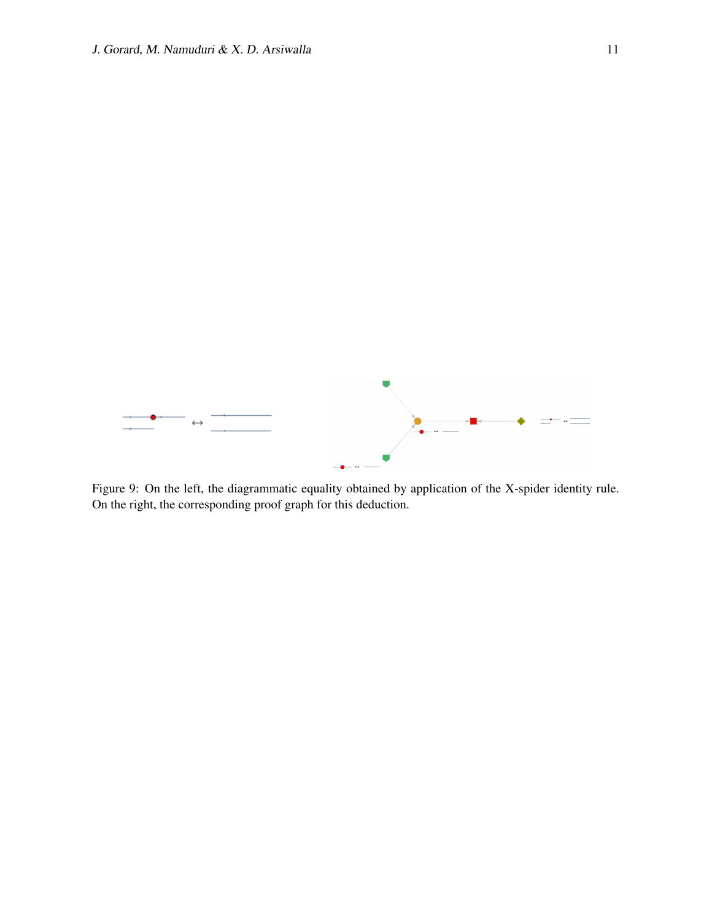

<span id="page-10-0"></span>Figure 9: On the left, the diagrammatic equality obtained by application of the X-spider identity rule. On the right, the corresponding proof graph for this deduction.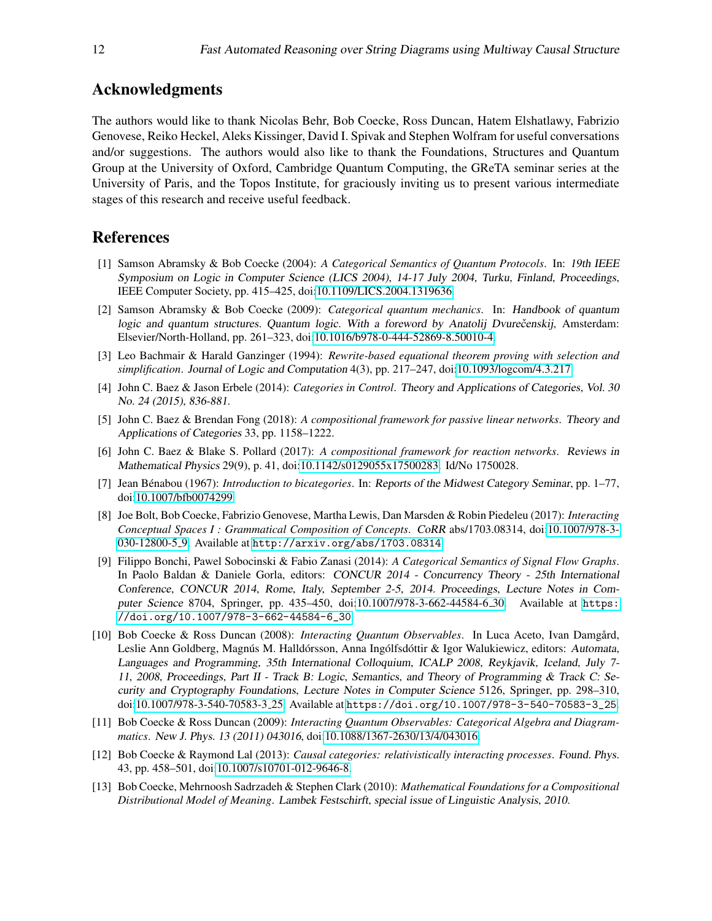#### Acknowledgments

The authors would like to thank Nicolas Behr, Bob Coecke, Ross Duncan, Hatem Elshatlawy, Fabrizio Genovese, Reiko Heckel, Aleks Kissinger, David I. Spivak and Stephen Wolfram for useful conversations and/or suggestions. The authors would also like to thank the Foundations, Structures and Quantum Group at the University of Oxford, Cambridge Quantum Computing, the GReTA seminar series at the University of Paris, and the Topos Institute, for graciously inviting us to present various intermediate stages of this research and receive useful feedback.

#### References

- <span id="page-11-2"></span>[1] Samson Abramsky & Bob Coecke (2004): *A Categorical Semantics of Quantum Protocols*. In: 19th IEEE Symposium on Logic in Computer Science (LICS 2004), 14-17 July 2004, Turku, Finland, Proceedings, IEEE Computer Society, pp. 415–425, doi[:10.1109/LICS.2004.1319636.](http://dx.doi.org/10.1109/LICS.2004.1319636)
- <span id="page-11-3"></span>[2] Samson Abramsky & Bob Coecke (2009): *Categorical quantum mechanics*. In: Handbook of quantum logic and quantum structures. Quantum logic. With a foreword by Anatolij Dvurečenskij, Amsterdam: Elsevier/North-Holland, pp. 261–323, doi[:10.1016/b978-0-444-52869-8.50010-4.](http://dx.doi.org/10.1016/b978-0-444-52869-8.50010-4)
- <span id="page-11-12"></span>[3] Leo Bachmair & Harald Ganzinger (1994): *Rewrite-based equational theorem proving with selection and simplification*. Journal of Logic and Computation 4(3), pp. 217–247, doi[:10.1093/logcom/4.3.217.](http://dx.doi.org/10.1093/logcom/4.3.217)
- <span id="page-11-5"></span>[4] John C. Baez & Jason Erbele (2014): *Categories in Control*. Theory and Applications of Categories, Vol. 30 No. 24 (2015), 836-881.
- <span id="page-11-7"></span>[5] John C. Baez & Brendan Fong (2018): *A compositional framework for passive linear networks*. Theory and Applications of Categories 33, pp. 1158–1222.
- <span id="page-11-6"></span>[6] John C. Baez & Blake S. Pollard (2017): *A compositional framework for reaction networks*. Reviews in Mathematical Physics 29(9), p. 41, doi[:10.1142/s0129055x17500283.](http://dx.doi.org/10.1142/s0129055x17500283) Id/No 1750028.
- <span id="page-11-11"></span>[7] Jean Bénabou (1967): *Introduction to bicategories*. In: Reports of the Midwest Category Seminar, pp. 1–77, doi[:10.1007/bfb0074299.](http://dx.doi.org/10.1007/bfb0074299)
- <span id="page-11-9"></span>[8] Joe Bolt, Bob Coecke, Fabrizio Genovese, Martha Lewis, Dan Marsden & Robin Piedeleu (2017): *Interacting Conceptual Spaces I : Grammatical Composition of Concepts*. CoRR abs/1703.08314, doi[:10.1007/978-3-](http://dx.doi.org/10.1007/978-3-030-12800-5_9) [030-12800-5](http://dx.doi.org/10.1007/978-3-030-12800-5_9) 9. Available at <http://arxiv.org/abs/1703.08314>.
- <span id="page-11-4"></span>[9] Filippo Bonchi, Pawel Sobocinski & Fabio Zanasi (2014): *A Categorical Semantics of Signal Flow Graphs*. In Paolo Baldan & Daniele Gorla, editors: CONCUR 2014 - Concurrency Theory - 25th International Conference, CONCUR 2014, Rome, Italy, September 2-5, 2014. Proceedings, Lecture Notes in Computer Science 8704, Springer, pp. 435–450, doi[:10.1007/978-3-662-44584-6](http://dx.doi.org/10.1007/978-3-662-44584-6_30) 30. Available at [https:](https://doi.org/10.1007/978-3-662-44584-6_30) [//doi.org/10.1007/978-3-662-44584-6\\_30](https://doi.org/10.1007/978-3-662-44584-6_30).
- <span id="page-11-0"></span>[10] Bob Coecke & Ross Duncan (2008): *Interacting Quantum Observables*. In Luca Aceto, Ivan Damgard, ˚ Leslie Ann Goldberg, Magnús M. Halldórsson, Anna Ingólfsdóttir & Igor Walukiewicz, editors: Automata, Languages and Programming, 35th International Colloquium, ICALP 2008, Reykjavik, Iceland, July 7- 11, 2008, Proceedings, Part II - Track B: Logic, Semantics, and Theory of Programming & Track C: Security and Cryptography Foundations, Lecture Notes in Computer Science 5126, Springer, pp. 298–310, doi[:10.1007/978-3-540-70583-3](http://dx.doi.org/10.1007/978-3-540-70583-3_25) 25. Available at [https://doi.org/10.1007/978-3-540-70583-3\\_25](https://doi.org/10.1007/978-3-540-70583-3_25).
- <span id="page-11-1"></span>[11] Bob Coecke & Ross Duncan (2009): *Interacting Quantum Observables: Categorical Algebra and Diagrammatics*. New J. Phys. 13 (2011) 043016, doi[:10.1088/1367-2630/13/4/043016.](http://dx.doi.org/10.1088/1367-2630/13/4/043016)
- <span id="page-11-10"></span>[12] Bob Coecke & Raymond Lal (2013): *Causal categories: relativistically interacting processes*. Found. Phys. 43, pp. 458–501, doi[:10.1007/s10701-012-9646-8.](http://dx.doi.org/10.1007/s10701-012-9646-8)
- <span id="page-11-8"></span>[13] Bob Coecke, Mehrnoosh Sadrzadeh & Stephen Clark (2010): *Mathematical Foundations for a Compositional Distributional Model of Meaning*. Lambek Festschirft, special issue of Linguistic Analysis, 2010.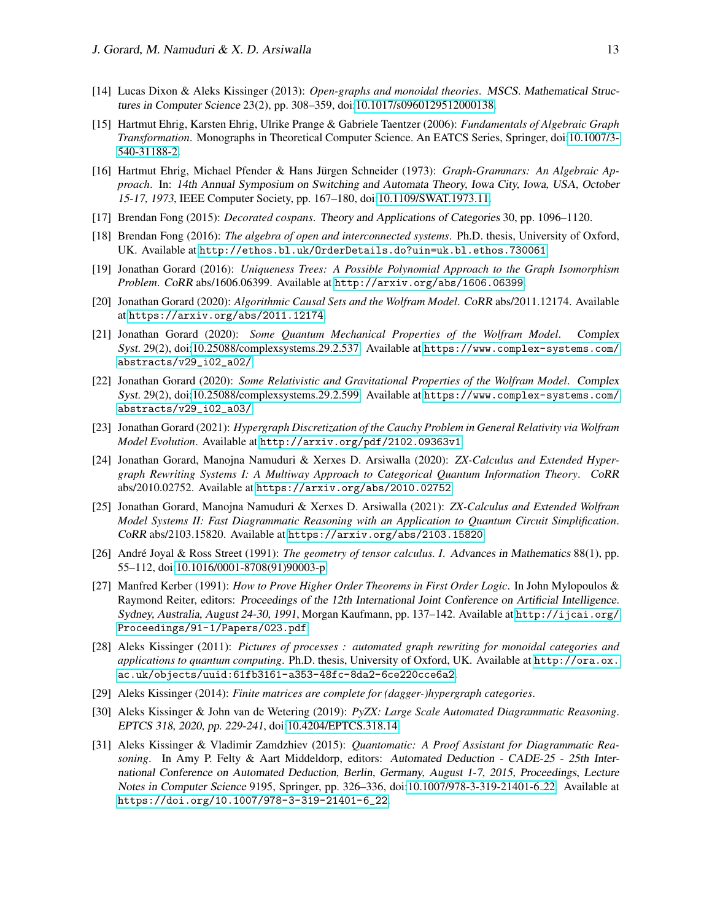- <span id="page-12-16"></span>[14] Lucas Dixon & Aleks Kissinger (2013): *Open-graphs and monoidal theories*. MSCS. Mathematical Structures in Computer Science 23(2), pp. 308–359, doi[:10.1017/s0960129512000138.](http://dx.doi.org/10.1017/s0960129512000138)
- <span id="page-12-11"></span>[15] Hartmut Ehrig, Karsten Ehrig, Ulrike Prange & Gabriele Taentzer (2006): *Fundamentals of Algebraic Graph Transformation*. Monographs in Theoretical Computer Science. An EATCS Series, Springer, doi[:10.1007/3-](http://dx.doi.org/10.1007/3-540-31188-2) [540-31188-2.](http://dx.doi.org/10.1007/3-540-31188-2)
- <span id="page-12-10"></span>[16] Hartmut Ehrig, Michael Pfender & Hans Jürgen Schneider (1973): *Graph-Grammars: An Algebraic Approach*. In: 14th Annual Symposium on Switching and Automata Theory, Iowa City, Iowa, USA, October 15-17, 1973, IEEE Computer Society, pp. 167–180, doi[:10.1109/SWAT.1973.11.](http://dx.doi.org/10.1109/SWAT.1973.11)
- <span id="page-12-8"></span>[17] Brendan Fong (2015): *Decorated cospans*. Theory and Applications of Categories 30, pp. 1096–1120.
- <span id="page-12-9"></span>[18] Brendan Fong (2016): *The algebra of open and interconnected systems*. Ph.D. thesis, University of Oxford, UK. Available at <http://ethos.bl.uk/OrderDetails.do?uin=uk.bl.ethos.730061>.
- <span id="page-12-15"></span>[19] Jonathan Gorard (2016): *Uniqueness Trees: A Possible Polynomial Approach to the Graph Isomorphism Problem*. CoRR abs/1606.06399. Available at <http://arxiv.org/abs/1606.06399>.
- <span id="page-12-13"></span>[20] Jonathan Gorard (2020): *Algorithmic Causal Sets and the Wolfram Model*. CoRR abs/2011.12174. Available at <https://arxiv.org/abs/2011.12174>.
- <span id="page-12-3"></span>[21] Jonathan Gorard (2020): *Some Quantum Mechanical Properties of the Wolfram Model*. Complex Syst. 29(2), doi[:10.25088/complexsystems.29.2.537.](http://dx.doi.org/10.25088/complexsystems.29.2.537) Available at [https://www.complex-systems.com/](https://www.complex-systems.com/abstracts/v29_i02_a02/) [abstracts/v29\\_i02\\_a02/](https://www.complex-systems.com/abstracts/v29_i02_a02/).
- <span id="page-12-4"></span>[22] Jonathan Gorard (2020): *Some Relativistic and Gravitational Properties of the Wolfram Model*. Complex Syst. 29(2), doi[:10.25088/complexsystems.29.2.599.](http://dx.doi.org/10.25088/complexsystems.29.2.599) Available at [https://www.complex-systems.com/](https://www.complex-systems.com/abstracts/v29_i02_a03/) [abstracts/v29\\_i02\\_a03/](https://www.complex-systems.com/abstracts/v29_i02_a03/).
- <span id="page-12-14"></span>[23] Jonathan Gorard (2021): *Hypergraph Discretization of the Cauchy Problem in General Relativity via Wolfram Model Evolution*. Available at <http://arxiv.org/pdf/2102.09363v1>.
- <span id="page-12-5"></span>[24] Jonathan Gorard, Manojna Namuduri & Xerxes D. Arsiwalla (2020): *ZX-Calculus and Extended Hypergraph Rewriting Systems I: A Multiway Approach to Categorical Quantum Information Theory*. CoRR abs/2010.02752. Available at <https://arxiv.org/abs/2010.02752>.
- <span id="page-12-6"></span>[25] Jonathan Gorard, Manojna Namuduri & Xerxes D. Arsiwalla (2021): *ZX-Calculus and Extended Wolfram Model Systems II: Fast Diagrammatic Reasoning with an Application to Quantum Circuit Simplification*. CoRR abs/2103.15820. Available at <https://arxiv.org/abs/2103.15820>.
- <span id="page-12-0"></span>[26] André Joyal & Ross Street (1991): *The geometry of tensor calculus. I. Advances in Mathematics* 88(1), pp. 55–112, doi[:10.1016/0001-8708\(91\)90003-p.](http://dx.doi.org/10.1016/0001-8708(91)90003-p)
- <span id="page-12-17"></span>[27] Manfred Kerber (1991): *How to Prove Higher Order Theorems in First Order Logic*. In John Mylopoulos & Raymond Reiter, editors: Proceedings of the 12th International Joint Conference on Artificial Intelligence. Sydney, Australia, August 24-30, 1991, Morgan Kaufmann, pp. 137–142. Available at [http://ijcai.org/](http://ijcai.org/Proceedings/91-1/Papers/023.pdf) [Proceedings/91-1/Papers/023.pdf](http://ijcai.org/Proceedings/91-1/Papers/023.pdf).
- <span id="page-12-12"></span>[28] Aleks Kissinger (2011): *Pictures of processes : automated graph rewriting for monoidal categories and applications to quantum computing*. Ph.D. thesis, University of Oxford, UK. Available at [http://ora.ox.](http://ora.ox.ac.uk/objects/uuid:61fb3161-a353-48fc-8da2-6ce220cce6a2) [ac.uk/objects/uuid:61fb3161-a353-48fc-8da2-6ce220cce6a2](http://ora.ox.ac.uk/objects/uuid:61fb3161-a353-48fc-8da2-6ce220cce6a2).
- <span id="page-12-7"></span>[29] Aleks Kissinger (2014): *Finite matrices are complete for (dagger-)hypergraph categories*.
- <span id="page-12-1"></span>[30] Aleks Kissinger & John van de Wetering (2019): *PyZX: Large Scale Automated Diagrammatic Reasoning*. EPTCS 318, 2020, pp. 229-241, doi[:10.4204/EPTCS.318.14.](http://dx.doi.org/10.4204/EPTCS.318.14)
- <span id="page-12-2"></span>[31] Aleks Kissinger & Vladimir Zamdzhiev (2015): *Quantomatic: A Proof Assistant for Diagrammatic Reasoning*. In Amy P. Felty & Aart Middeldorp, editors: Automated Deduction - CADE-25 - 25th International Conference on Automated Deduction, Berlin, Germany, August 1-7, 2015, Proceedings, Lecture Notes in Computer Science 9195, Springer, pp. 326–336, doi[:10.1007/978-3-319-21401-6](http://dx.doi.org/10.1007/978-3-319-21401-6_22) 22. Available at [https://doi.org/10.1007/978-3-319-21401-6\\_22](https://doi.org/10.1007/978-3-319-21401-6_22).